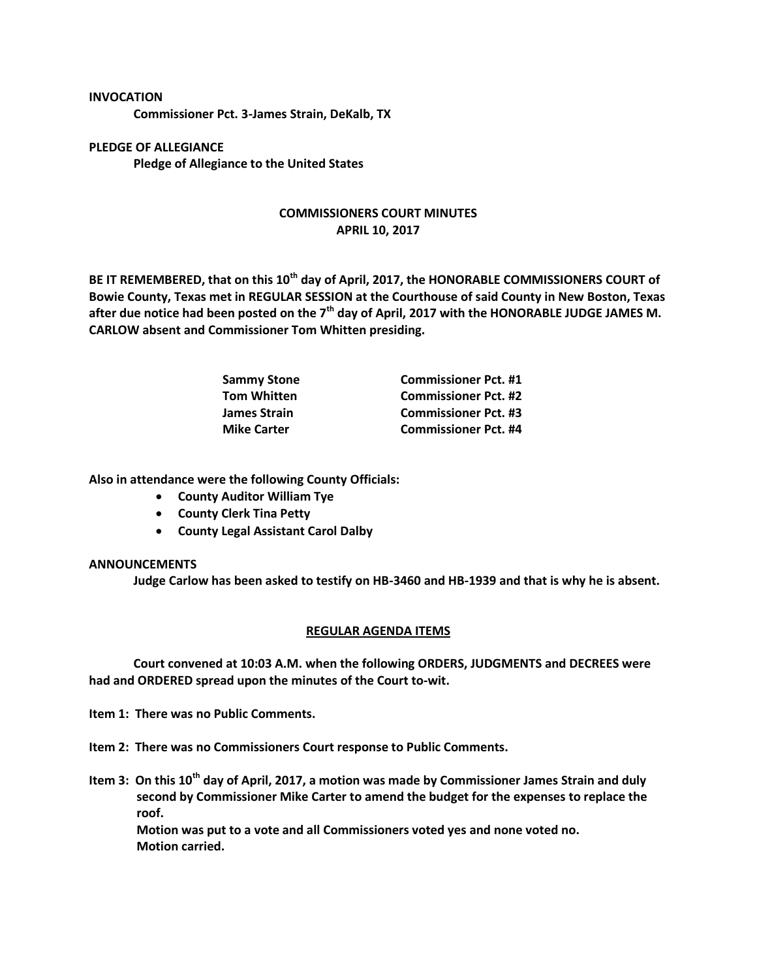## **INVOCATION**

**Commissioner Pct. 3-James Strain, DeKalb, TX**

**PLEDGE OF ALLEGIANCE Pledge of Allegiance to the United States**

## **COMMISSIONERS COURT MINUTES APRIL 10, 2017**

**BE IT REMEMBERED, that on this 10th day of April, 2017, the HONORABLE COMMISSIONERS COURT of Bowie County, Texas met in REGULAR SESSION at the Courthouse of said County in New Boston, Texas after due notice had been posted on the 7th day of April, 2017 with the HONORABLE JUDGE JAMES M. CARLOW absent and Commissioner Tom Whitten presiding.**

| <b>Sammy Stone</b> | <b>Commissioner Pct. #1</b> |
|--------------------|-----------------------------|
| <b>Tom Whitten</b> | <b>Commissioner Pct. #2</b> |
| James Strain       | <b>Commissioner Pct. #3</b> |
| <b>Mike Carter</b> | <b>Commissioner Pct. #4</b> |

**Also in attendance were the following County Officials:**

- **County Auditor William Tye**
- **•** County Clerk Tina Petty
- **County Legal Assistant Carol Dalby**

## **ANNOUNCEMENTS**

**Judge Carlow has been asked to testify on HB-3460 and HB-1939 and that is why he is absent.**

## **REGULAR AGENDA ITEMS**

**Court convened at 10:03 A.M. when the following ORDERS, JUDGMENTS and DECREES were had and ORDERED spread upon the minutes of the Court to-wit.**

**Item 1: There was no Public Comments.**

**Item 2: There was no Commissioners Court response to Public Comments.**

**Item 3: On this 10th day of April, 2017, a motion was made by Commissioner James Strain and duly second by Commissioner Mike Carter to amend the budget for the expenses to replace the roof.**

**Motion was put to a vote and all Commissioners voted yes and none voted no. Motion carried.**